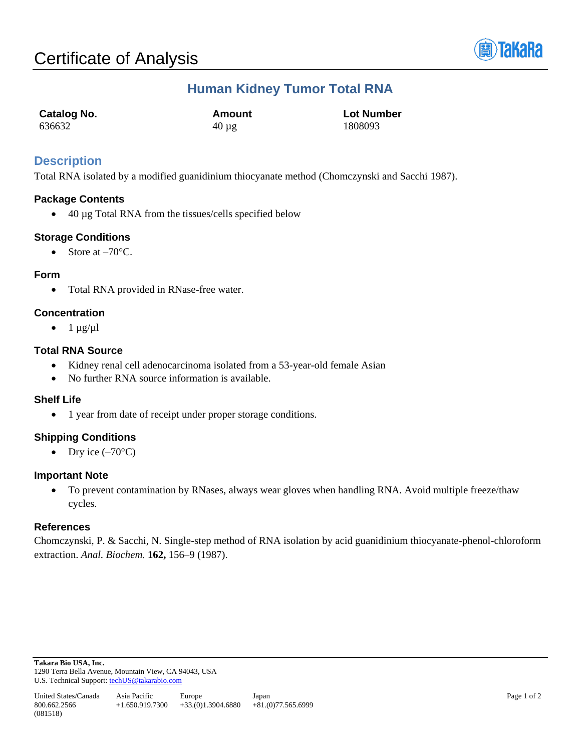

# **Human Kidney Tumor Total RNA**

| <b>Catalog No.</b> | Amount     | <b>Lot Number</b> |
|--------------------|------------|-------------------|
| 636632             | $40 \mu$ g | 1808093           |

## **Description**

Total RNA isolated by a modified guanidinium thiocyanate method (Chomczynski and Sacchi 1987).

## **Package Contents**

• 40 µg Total RNA from the tissues/cells specified below

## **Storage Conditions**

• Store at  $-70^{\circ}$ C.

## **Form**

• Total RNA provided in RNase-free water.

## **Concentration**

 $\bullet$  1  $\mu$ g/ $\mu$ l

## **Total RNA Source**

- Kidney renal cell adenocarcinoma isolated from a 53-year-old female Asian
- No further RNA source information is available.

#### **Shelf Life**

• 1 year from date of receipt under proper storage conditions.

#### **Shipping Conditions**

• Dry ice  $(-70^{\circ}C)$ 

#### **Important Note**

• To prevent contamination by RNases, always wear gloves when handling RNA. Avoid multiple freeze/thaw cycles.

#### **References**

Chomczynski, P. & Sacchi, N. Single-step method of RNA isolation by acid guanidinium thiocyanate-phenol-chloroform extraction. *Anal. Biochem.* **162,** 156–9 (1987).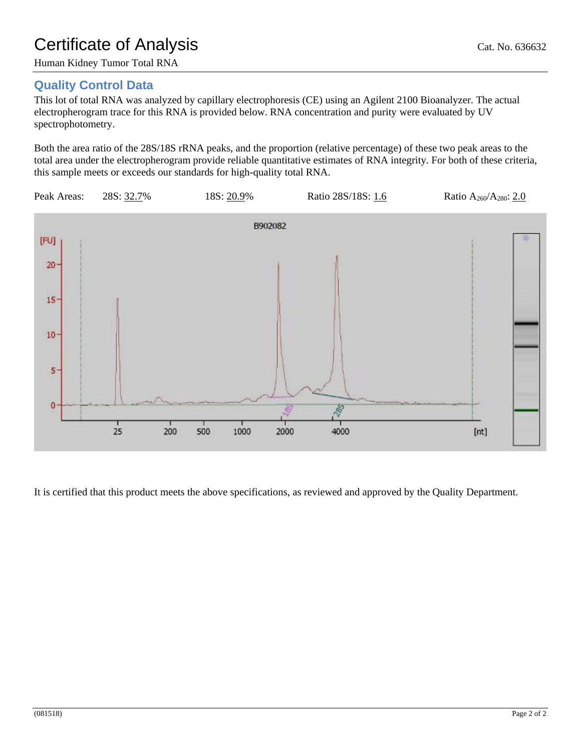# Certificate of Analysis Cat. No. 636632

Human Kidney Tumor Total RNA

# **Quality Control Data**

This lot of total RNA was analyzed by capillary electrophoresis (CE) using an Agilent 2100 Bioanalyzer. The actual electropherogram trace for this RNA is provided below. RNA concentration and purity were evaluated by UV spectrophotometry.

Both the area ratio of the 28S/18S rRNA peaks, and the proportion (relative percentage) of these two peak areas to the total area under the electropherogram provide reliable quantitative estimates of RNA integrity. For both of these criteria, this sample meets or exceeds our standards for high-quality total RNA.



It is certified that this product meets the above specifications, as reviewed and approved by the Quality Department.